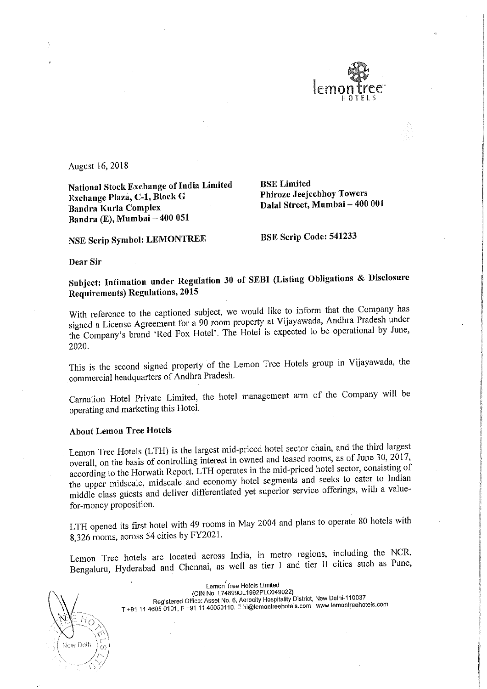

August 16, 2018

National Stock Exchange of India Limited<br>Exchange Plaza, C-1, Block G Phiroze Jeejeebhoy Towers Exchange Plaza, C-1, Block G Bandra Kurla Complex Bandra (E), Mumbai — 400 051

Dalal Street, Mumbai - 400 001

NSE Scrip Symbol: LEMONTREE BSE Scrip Code: 541233

Dear Sir

Subject: Intimation under Regulation 30 of SEBI (Listing Obligations & Disclosure Requirements) Regulations, <sup>2015</sup>

With reference to the captioned subject, we would like to inform that the Company has signed <sup>a</sup> License Agreement for <sup>a</sup> <sup>90</sup> room property at Vijayawada, Andhra Pradesh under the Company's brand 'Red Fox Hotel'. The Hotel is expected to be operational by June, 2020.

This is the second signed property of the Lemon Tree Hotels group in Vijayawada, the commercial headquarters of Andhra Pradesh.

Carnation Hotel Private Limited, the hotel management arm of the Company will be operating and marketing this Hotel.

## About Lemon Tree Hotels

Lemon Tree Hotels (LTH) is the largest mid-priced hotel sector chain, and the third largest overall, on the basis of controlling interest in owned and leased rooms, as of June 30, 2017, according to the Horwath Report. LTH operates in the mid-priced hotel sector, consisting of the upper midscale, midscale and economy hotel segments and seeks to cater to Indian middle class guests and deliver differentiated yet superior service offerings, with <sup>a</sup> valuefor-money proposition.

LTH opened its first hotel with <sup>49</sup> rooms in May <sup>2004</sup> and plans to operate <sup>80</sup> hotels with 8,326 rooms, across <sup>54</sup> cities by FY2021.

Lemon Tree hotels are located across India, in metro regions, including the NCR, Bengaluru, Hyderabad and Chennai, as well as tier <sup>1</sup> and tier ll cities such as Pune,

ŀ. New Delh

/ Lemon/Tree Hotels Limited (CIN No. L74899DL1992PLCO49022) Registered Office: Asset No. 6, Aerocity Hospitality District, New Delhi-110037 T +91 11 4605 0101, F +91 11 46050110. E hi@lemontreehotels.com www.lemontreehotels.com